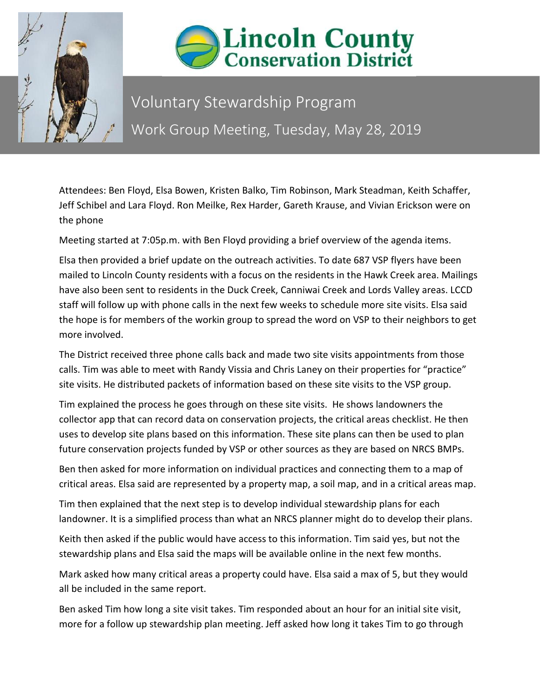



## Voluntary Stewardship Program Work Group Meeting, Tuesday, May 28, 2019

Attendees: Ben Floyd, Elsa Bowen, Kristen Balko, Tim Robinson, Mark Steadman, Keith Schaffer, Jeff Schibel and Lara Floyd. Ron Meilke, Rex Harder, Gareth Krause, and Vivian Erickson were on the phone

Meeting started at 7:05p.m. with Ben Floyd providing a brief overview of the agenda items.

Elsa then provided a brief update on the outreach activities. To date 687 VSP flyers have been mailed to Lincoln County residents with a focus on the residents in the Hawk Creek area. Mailings have also been sent to residents in the Duck Creek, Canniwai Creek and Lords Valley areas. LCCD staff will follow up with phone calls in the next few weeks to schedule more site visits. Elsa said the hope is for members of the workin group to spread the word on VSP to their neighbors to get more involved.

The District received three phone calls back and made two site visits appointments from those calls. Tim was able to meet with Randy Vissia and Chris Laney on their properties for "practice" site visits. He distributed packets of information based on these site visits to the VSP group.

Tim explained the process he goes through on these site visits. He shows landowners the collector app that can record data on conservation projects, the critical areas checklist. He then uses to develop site plans based on this information. These site plans can then be used to plan future conservation projects funded by VSP or other sources as they are based on NRCS BMPs.

Ben then asked for more information on individual practices and connecting them to a map of critical areas. Elsa said are represented by a property map, a soil map, and in a critical areas map.

Tim then explained that the next step is to develop individual stewardship plans for each landowner. It is a simplified process than what an NRCS planner might do to develop their plans.

Keith then asked if the public would have access to this information. Tim said yes, but not the stewardship plans and Elsa said the maps will be available online in the next few months.

Mark asked how many critical areas a property could have. Elsa said a max of 5, but they would all be included in the same report.

Ben asked Tim how long a site visit takes. Tim responded about an hour for an initial site visit, more for a follow up stewardship plan meeting. Jeff asked how long it takes Tim to go through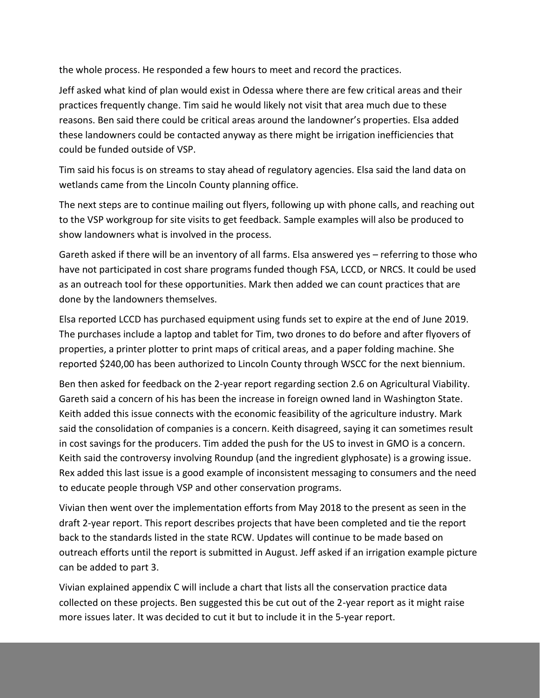the whole process. He responded a few hours to meet and record the practices.

Jeff asked what kind of plan would exist in Odessa where there are few critical areas and their practices frequently change. Tim said he would likely not visit that area much due to these reasons. Ben said there could be critical areas around the landowner's properties. Elsa added these landowners could be contacted anyway as there might be irrigation inefficiencies that could be funded outside of VSP.

Tim said his focus is on streams to stay ahead of regulatory agencies. Elsa said the land data on wetlands came from the Lincoln County planning office.

The next steps are to continue mailing out flyers, following up with phone calls, and reaching out to the VSP workgroup for site visits to get feedback. Sample examples will also be produced to show landowners what is involved in the process.

Gareth asked if there will be an inventory of all farms. Elsa answered yes – referring to those who have not participated in cost share programs funded though FSA, LCCD, or NRCS. It could be used as an outreach tool for these opportunities. Mark then added we can count practices that are done by the landowners themselves.

Elsa reported LCCD has purchased equipment using funds set to expire at the end of June 2019. The purchases include a laptop and tablet for Tim, two drones to do before and after flyovers of properties, a printer plotter to print maps of critical areas, and a paper folding machine. She reported \$240,00 has been authorized to Lincoln County through WSCC for the next biennium.

Ben then asked for feedback on the 2-year report regarding section 2.6 on Agricultural Viability. Gareth said a concern of his has been the increase in foreign owned land in Washington State. Keith added this issue connects with the economic feasibility of the agriculture industry. Mark said the consolidation of companies is a concern. Keith disagreed, saying it can sometimes result in cost savings for the producers. Tim added the push for the US to invest in GMO is a concern. Keith said the controversy involving Roundup (and the ingredient glyphosate) is a growing issue. Rex added this last issue is a good example of inconsistent messaging to consumers and the need to educate people through VSP and other conservation programs.

Vivian then went over the implementation efforts from May 2018 to the present as seen in the draft 2-year report. This report describes projects that have been completed and tie the report back to the standards listed in the state RCW. Updates will continue to be made based on outreach efforts until the report is submitted in August. Jeff asked if an irrigation example picture can be added to part 3.

Vivian explained appendix C will include a chart that lists all the conservation practice data collected on these projects. Ben suggested this be cut out of the 2-year report as it might raise more issues later. It was decided to cut it but to include it in the 5-year report.